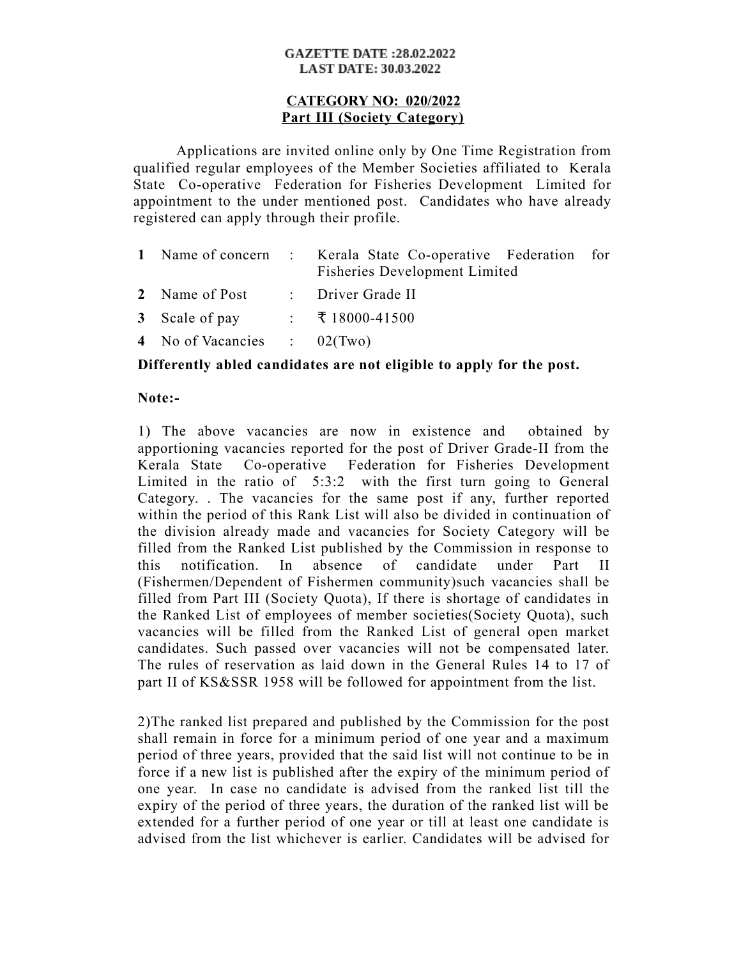#### **GAZETTE DATE:28.02.2022 LAST DATE: 30.03.2022**

# **CATEGORY NO: 020/2022 Part III (Society Category)**

Applications are invited online only by One Time Registration from qualified regular employees of the Member Societies affiliated to Kerala State Co-operative Federation for Fisheries Development Limited for appointment to the under mentioned post. Candidates who have already registered can apply through their profile.

|                               | 1 Name of concern : Kerala State Co-operative Federation for<br><b>Fisheries Development Limited</b> |  |
|-------------------------------|------------------------------------------------------------------------------------------------------|--|
| 2 Name of Post                | : Driver Grade II                                                                                    |  |
| 3 Scale of pay                | $\div$ ₹ 18000-41500                                                                                 |  |
| 4 No of Vacancies : $02(Two)$ |                                                                                                      |  |

# **Differently abled candidates are not eligible to apply for the post.**

# **Note:-**

1) The above vacancies are now in existence and obtained by apportioning vacancies reported for the post of Driver Grade-II from the Kerala State Co-operative Federation for Fisheries Development Limited in the ratio of 5:3:2 with the first turn going to General Category. . The vacancies for the same post if any, further reported within the period of this Rank List will also be divided in continuation of the division already made and vacancies for Society Category will be filled from the Ranked List published by the Commission in response to this notification. In absence of candidate under Part II (Fishermen/Dependent of Fishermen community)such vacancies shall be filled from Part III (Society Quota), If there is shortage of candidates in the Ranked List of employees of member societies(Society Quota), such vacancies will be filled from the Ranked List of general open market candidates. Such passed over vacancies will not be compensated later. The rules of reservation as laid down in the General Rules 14 to 17 of part II of KS&SSR 1958 will be followed for appointment from the list.

2)The ranked list prepared and published by the Commission for the post shall remain in force for a minimum period of one year and a maximum period of three years, provided that the said list will not continue to be in force if a new list is published after the expiry of the minimum period of one year. In case no candidate is advised from the ranked list till the expiry of the period of three years, the duration of the ranked list will be extended for a further period of one year or till at least one candidate is advised from the list whichever is earlier. Candidates will be advised for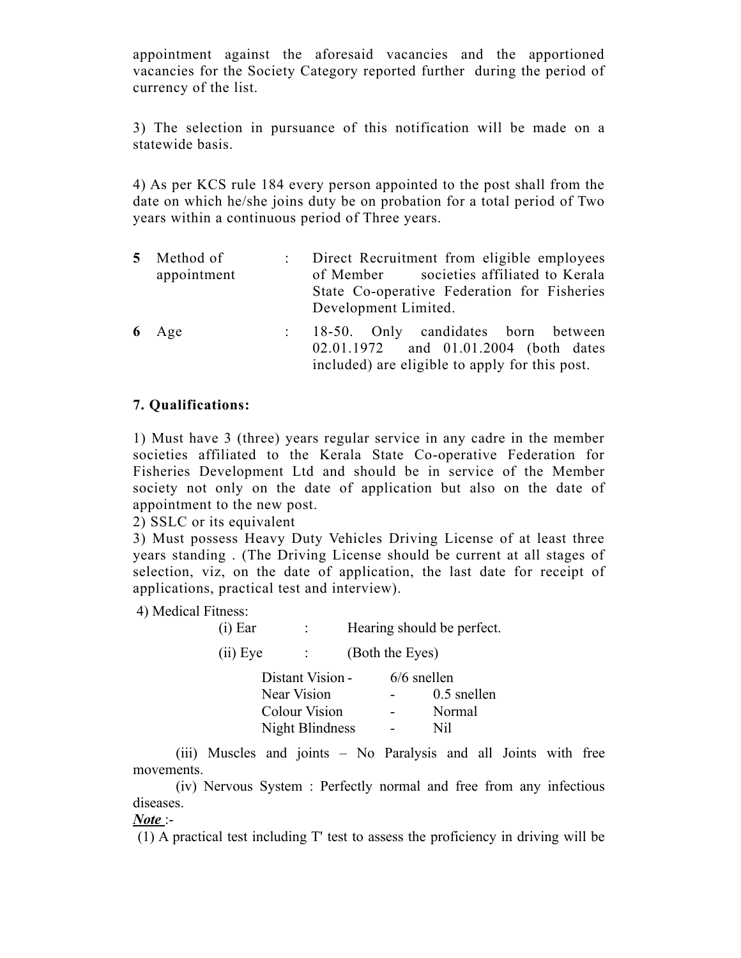appointment against the aforesaid vacancies and the apportioned vacancies for the Society Category reported further during the period of currency of the list.

3) The selection in pursuance of this notification will be made on a statewide basis.

4) As per KCS rule 184 every person appointed to the post shall from the date on which he/she joins duty be on probation for a total period of Two years within a continuous period of Three years.

| 5 Method of<br>appointment | : Direct Recruitment from eligible employees<br>of Member societies affiliated to Kerala<br>State Co-operative Federation for Fisheries<br>Development Limited. |
|----------------------------|-----------------------------------------------------------------------------------------------------------------------------------------------------------------|
| $6$ Age                    | : 18-50. Only candidates born between<br>02.01.1972 and 01.01.2004 (both dates<br>included) are eligible to apply for this post.                                |

# **7. Qualifications:**

1) Must have 3 (three) years regular service in any cadre in the member societies affiliated to the Kerala State Co-operative Federation for Fisheries Development Ltd and should be in service of the Member society not only on the date of application but also on the date of appointment to the new post.

2) SSLC or its equivalent

3) Must possess Heavy Duty Vehicles Driving License of at least three years standing . (The Driving License should be current at all stages of selection, viz, on the date of application, the last date for receipt of applications, practical test and interview).

4) Medical Fitness:

| $(i)$ Ear |                  |                 | Hearing should be perfect. |
|-----------|------------------|-----------------|----------------------------|
| (ii) Eye  |                  | (Both the Eyes) |                            |
|           | Distant Vision - |                 | $6/6$ snellen              |
|           | Near Vision      |                 | $0.5$ snellen              |
|           |                  |                 |                            |

| <b>Colour Vision</b> | Normal |
|----------------------|--------|
| Night Blindness      | Nil    |

(iii) Muscles and joints – No Paralysis and all Joints with free movements.

(iv) Nervous System : Perfectly normal and free from any infectious diseases.

# *Note* :-

(1) A practical test including T' test to assess the proficiency in driving will be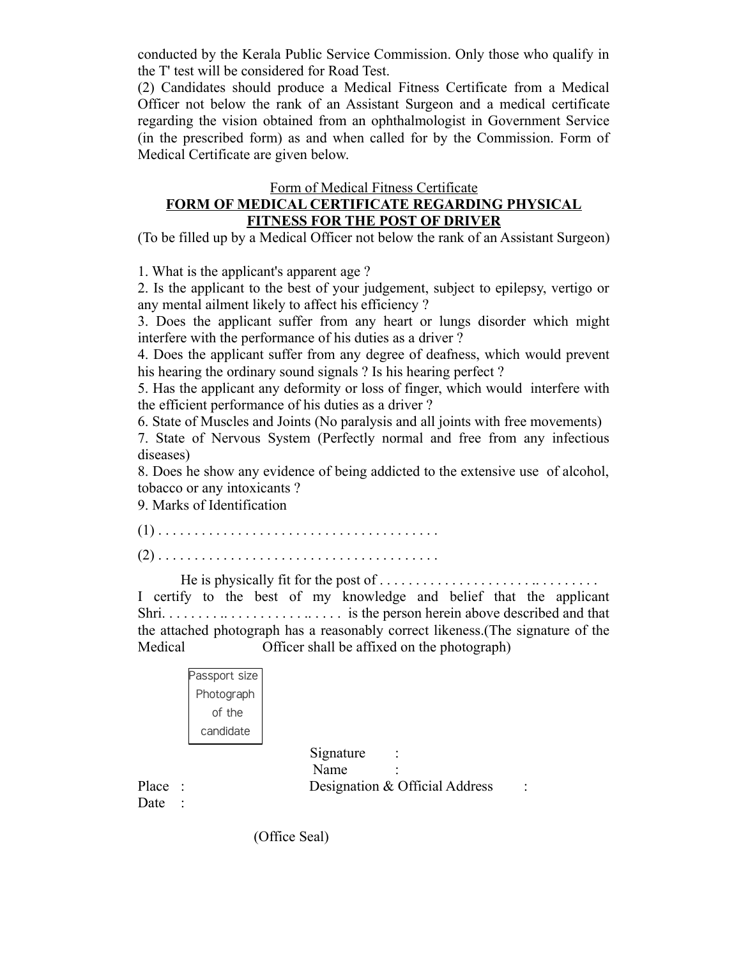conducted by the Kerala Public Service Commission. Only those who qualify in the T' test will be considered for Road Test.

(2) Candidates should produce a Medical Fitness Certificate from a Medical Officer not below the rank of an Assistant Surgeon and a medical certificate regarding the vision obtained from an ophthalmologist in Government Service (in the prescribed form) as and when called for by the Commission. Form of Medical Certificate are given below.

#### Form of Medical Fitness Certificate **FORM OF MEDICAL CERTIFICATE REGARDING PHYSICAL FITNESS FOR THE POST OF DRIVER**

(To be filled up by a Medical Officer not below the rank of an Assistant Surgeon)

1. What is the applicant's apparent age ?

2. Is the applicant to the best of your judgement, subject to epilepsy, vertigo or any mental ailment likely to affect his efficiency ?

3. Does the applicant suffer from any heart or lungs disorder which might interfere with the performance of his duties as a driver ?

4. Does the applicant suffer from any degree of deafness, which would prevent his hearing the ordinary sound signals ? Is his hearing perfect ?

5. Has the applicant any deformity or loss of finger, which would interfere with the efficient performance of his duties as a driver ?

6. State of Muscles and Joints (No paralysis and all joints with free movements)

7. State of Nervous System (Perfectly normal and free from any infectious diseases)

8. Does he show any evidence of being addicted to the extensive use of alcohol, tobacco or any intoxicants ?

9. Marks of Identification

(1) . . . . . . . . . . . . . . . . . . . . . . . . . . . . . . . . . . . . . . .

(2) . . . . . . . . . . . . . . . . . . . . . . . . . . . . . . . . . . . . . . .

He is physically fit for the post of . . . . . . . . . . . . . . . . . . . . . .. . . . . . . . . I certify to the best of my knowledge and belief that the applicant Shri. . . . . . . . .. . . . . . . . . . . .. . . . . is the person herein above described and that the attached photograph has a reasonably correct likeness.(The signature of the Medical Officer shall be affixed on the photograph)

| assport size |
|--------------|
| Photograph   |
| of the       |
| candidate    |
|              |

Signature : Name Place : Designation & Official Address :

Date :

(Office Seal)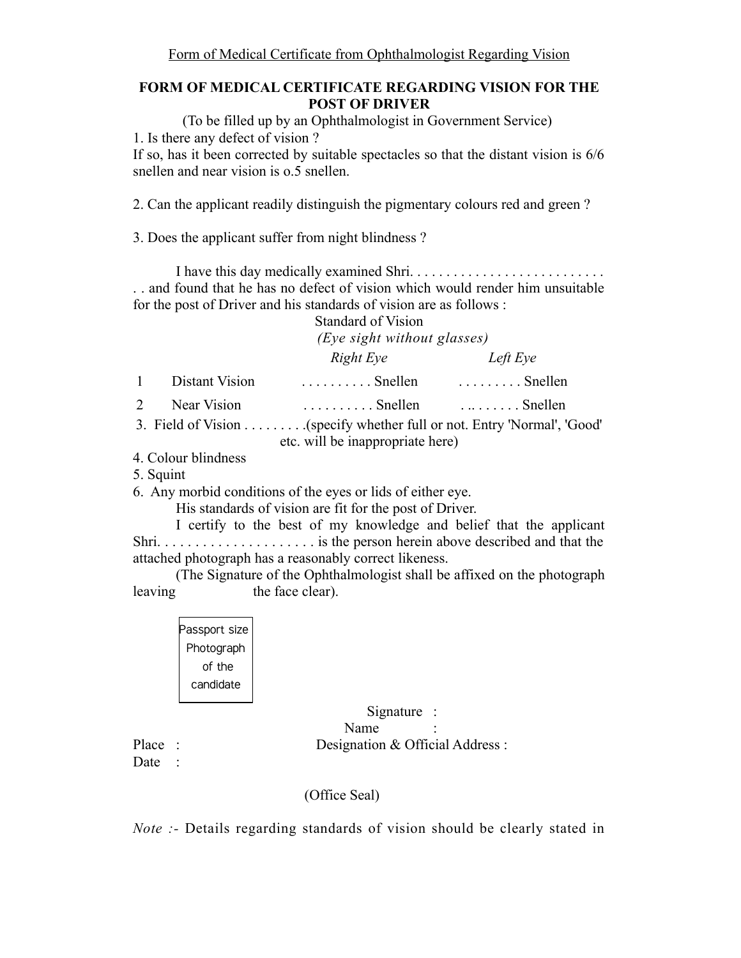# **FORM OF MEDICAL CERTIFICATE REGARDING VISION FOR THE POST OF DRIVER**

(To be filled up by an Ophthalmologist in Government Service) 1. Is there any defect of vision ? If so, has it been corrected by suitable spectacles so that the distant vision is 6/6

snellen and near vision is o.5 snellen.

2. Can the applicant readily distinguish the pigmentary colours red and green ?

3. Does the applicant suffer from night blindness ?

I have this day medically examined Shri. . . . . . . . . . . . . . . . . . . . . . . . . . . . . and found that he has no defect of vision which would render him unsuitable for the post of Driver and his standards of vision are as follows :

|              |                | <b>Standard of Vision</b>                                     |          |  |
|--------------|----------------|---------------------------------------------------------------|----------|--|
|              |                | (Eye sight without glasses)                                   |          |  |
|              |                | Right Eye                                                     | Left Eye |  |
| $\mathbf{1}$ | Distant Vision | $\ldots$ Snellen $\ldots$ Snellen                             |          |  |
| 2            | Near Vision    | $\ldots \ldots \ldots$ Snellen $\ldots \ldots \ldots$ Snellen |          |  |
|              |                | etc. will be inappropriate here)                              |          |  |

- 4. Colour blindness
- 5. Squint

6. Any morbid conditions of the eyes or lids of either eye.

His standards of vision are fit for the post of Driver.

I certify to the best of my knowledge and belief that the applicant Shri. . . . . . . . . . . . . . . . . . . . . is the person herein above described and that the attached photograph has a reasonably correct likeness.

(The Signature of the Ophthalmologist shall be affixed on the photograph leaving the face clear).

| Photograph |
|------------|
| of the     |
| candidate  |

 Signature : Name Place : Designation & Official Address :

Date :

(Office Seal)

*Note* :- Details regarding standards of vision should be clearly stated in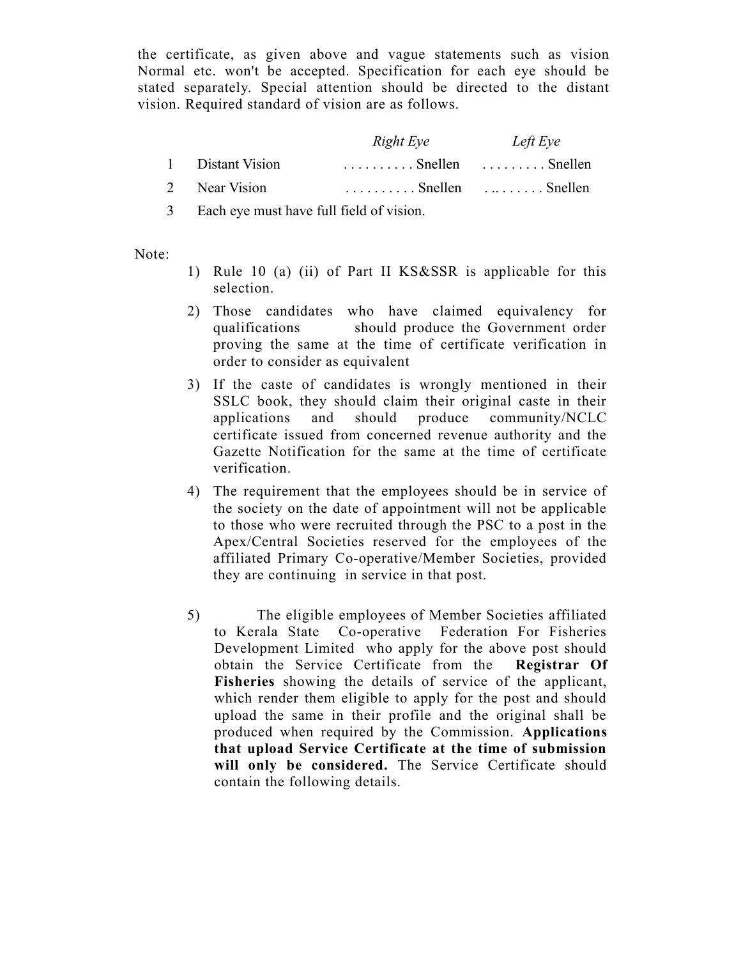the certificate, as given above and vague statements such as vision Normal etc. won't be accepted. Specification for each eye should be stated separately. Special attention should be directed to the distant vision. Required standard of vision are as follows.

|                  | Right Eye                                                   | Left Eye |
|------------------|-------------------------------------------------------------|----------|
| 1 Distant Vision | $\ldots \ldots \ldots$ Snellen $\ldots \ldots$ Snellen      |          |
| 2 Near Vision    | $\ldots$ , $\ldots$ . Snellen $\ldots$ , $\ldots$ . Snellen |          |

3 Each eye must have full field of vision.

Note:

- 1) Rule 10 (a) (ii) of Part II KS&SSR is applicable for this selection.
- 2) Those candidates who have claimed equivalency for qualifications should produce the Government order proving the same at the time of certificate verification in order to consider as equivalent
- 3) If the caste of candidates is wrongly mentioned in their SSLC book, they should claim their original caste in their applications and should produce community/NCLC certificate issued from concerned revenue authority and the Gazette Notification for the same at the time of certificate verification.
- 4) The requirement that the employees should be in service of the society on the date of appointment will not be applicable to those who were recruited through the PSC to a post in the Apex/Central Societies reserved for the employees of the affiliated Primary Co-operative/Member Societies, provided they are continuing in service in that post.
- 5) The eligible employees of Member Societies affiliated to Kerala State Co-operative Federation For Fisheries Development Limited who apply for the above post should obtain the Service Certificate from the **Registrar Of Fisheries** showing the details of service of the applicant, which render them eligible to apply for the post and should upload the same in their profile and the original shall be produced when required by the Commission. **Applications that upload Service Certificate at the time of submission will only be considered.** The Service Certificate should contain the following details.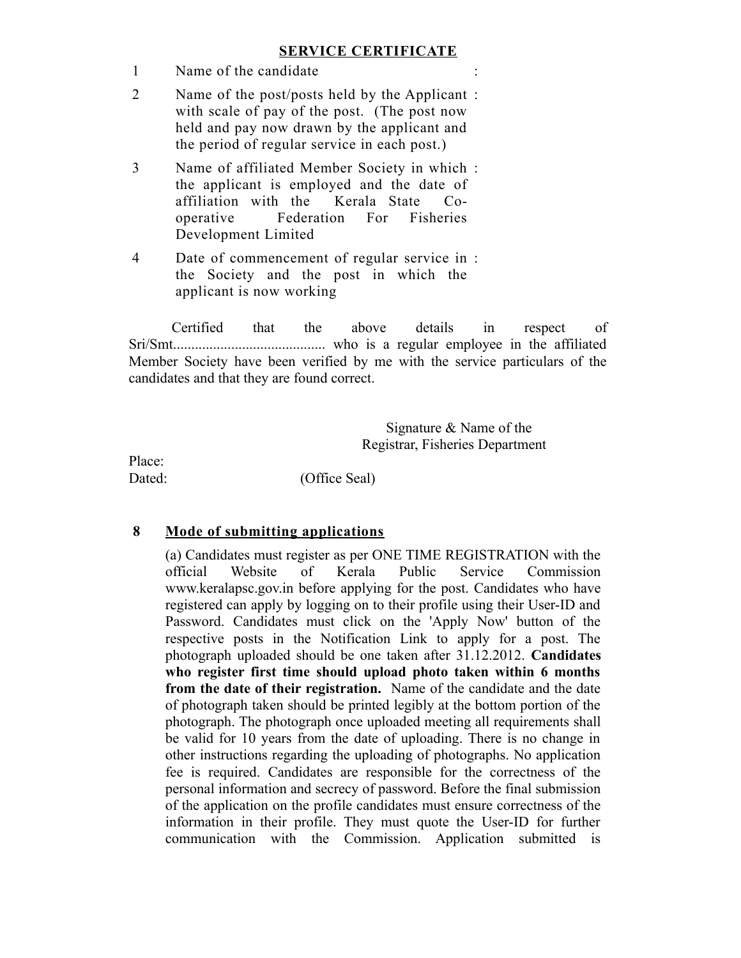# **SERVICE CERTIFICATE**

- 1 Name of the candidate
- 2 Name of the post/posts held by the Applicant : with scale of pay of the post. (The post now held and pay now drawn by the applicant and the period of regular service in each post.)
- 3 Name of affiliated Member Society in which : the applicant is employed and the date of affiliation with the Kerala State Cooperative Federation For Fisheries Development Limited
- 4 Date of commencement of regular service in : the Society and the post in which the applicant is now working

Certified that the above details in respect of Sri/Smt.......................................... who is a regular employee in the affiliated Member Society have been verified by me with the service particulars of the candidates and that they are found correct.

> Signature & Name of the Registrar, Fisheries Department

Place:

Dated: (Office Seal)

# **8 Mode of submitting applications**

(a) Candidates must register as per ONE TIME REGISTRATION with the official Website of Kerala Public Service Commission www.keralapsc.gov.in before applying for the post. Candidates who have registered can apply by logging on to their profile using their User-ID and Password. Candidates must click on the 'Apply Now' button of the respective posts in the Notification Link to apply for a post. The photograph uploaded should be one taken after 31.12.2012. **Candidates who register first time should upload photo taken within 6 months from the date of their registration.** Name of the candidate and the date of photograph taken should be printed legibly at the bottom portion of the photograph. The photograph once uploaded meeting all requirements shall be valid for 10 years from the date of uploading. There is no change in other instructions regarding the uploading of photographs. No application fee is required. Candidates are responsible for the correctness of the personal information and secrecy of password. Before the final submission of the application on the profile candidates must ensure correctness of the information in their profile. They must quote the User-ID for further communication with the Commission. Application submitted is